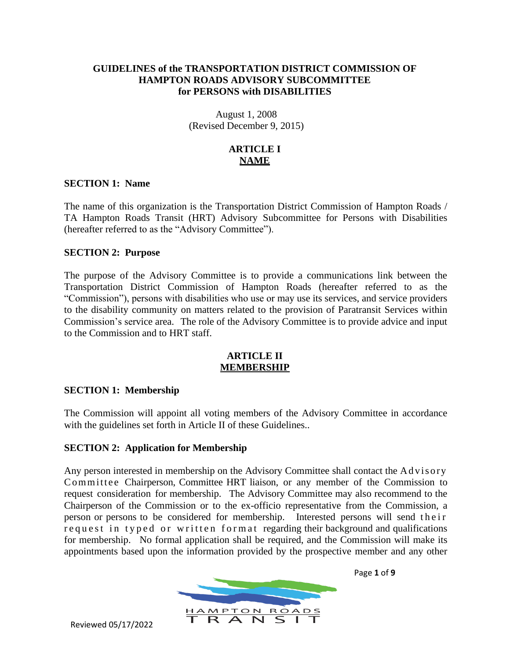# **GUIDELINES of the TRANSPORTATION DISTRICT COMMISSION OF HAMPTON ROADS ADVISORY SUBCOMMITTEE for PERSONS with DISABILITIES**

August 1, 2008 (Revised December 9, 2015)

# **ARTICLE I NAME**

# **SECTION 1: Name**

The name of this organization is the Transportation District Commission of Hampton Roads / TA Hampton Roads Transit (HRT) Advisory Subcommittee for Persons with Disabilities (hereafter referred to as the "Advisory Committee").

# **SECTION 2: Purpose**

The purpose of the Advisory Committee is to provide a communications link between the Transportation District Commission of Hampton Roads (hereafter referred to as the "Commission"), persons with disabilities who use or may use its services, and service providers to the disability community on matters related to the provision of Paratransit Services within Commission's service area. The role of the Advisory Committee is to provide advice and input to the Commission and to HRT staff.

# **ARTICLE II MEMBERSHIP**

# **SECTION 1: Membership**

The Commission will appoint all voting members of the Advisory Committee in accordance with the guidelines set forth in Article II of these Guidelines..

# **SECTION 2: Application for Membership**

Any person interested in membership on the Advisory Committee shall contact the Advisory Committee Chairperson, Committee HRT liaison, or any member of the Commission to request consideration for membership. The Advisory Committee may also recommend to the Chairperson of the Commission or to the ex-officio representative from the Commission, a person or persons to be considered for membership. Interested persons will send their request in typed or written format regarding their background and qualifications for membership. No formal application shall be required, and the Commission will make its appointments based upon the information provided by the prospective member and any other



Page **1** of **9**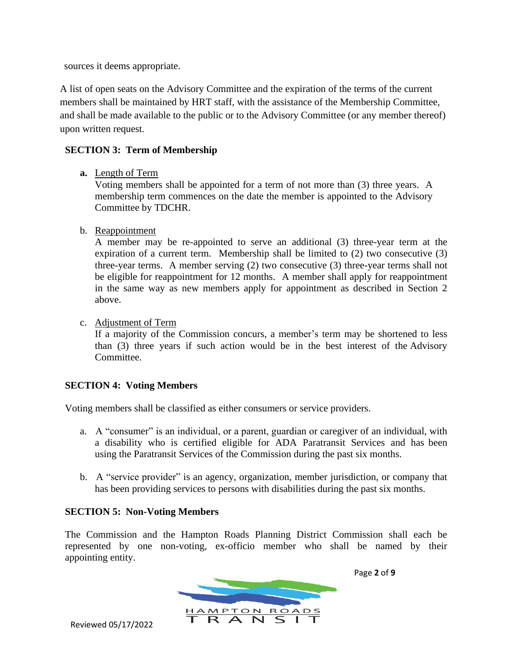sources it deems appropriate.

A list of open seats on the Advisory Committee and the expiration of the terms of the current members shall be maintained by HRT staff, with the assistance of the Membership Committee, and shall be made available to the public or to the Advisory Committee (or any member thereof) upon written request.

# **SECTION 3: Term of Membership**

**a.** Length of Term

Voting members shall be appointed for a term of not more than (3) three years. A membership term commences on the date the member is appointed to the Advisory Committee by TDCHR.

b. Reappointment

A member may be re-appointed to serve an additional (3) three-year term at the expiration of a current term. Membership shall be limited to (2) two consecutive (3) three-year terms. A member serving (2) two consecutive (3) three-year terms shall not be eligible for reappointment for 12 months. A member shall apply for reappointment in the same way as new members apply for appointment as described in Section 2 above.

c. Adjustment of Term

If a majority of the Commission concurs, a member's term may be shortened to less than (3) three years if such action would be in the best interest of the Advisory Committee.

# **SECTION 4: Voting Members**

Voting members shall be classified as either consumers or service providers.

- a. A "consumer" is an individual, or a parent, guardian or caregiver of an individual, with a disability who is certified eligible for ADA Paratransit Services and has been using the Paratransit Services of the Commission during the past six months.
- b. A "service provider" is an agency, organization, member jurisdiction, or company that has been providing services to persons with disabilities during the past six months.

# **SECTION 5: Non-Voting Members**

The Commission and the Hampton Roads Planning District Commission shall each be represented by one non-voting, ex-officio member who shall be named by their appointing entity.



Page **2** of **9**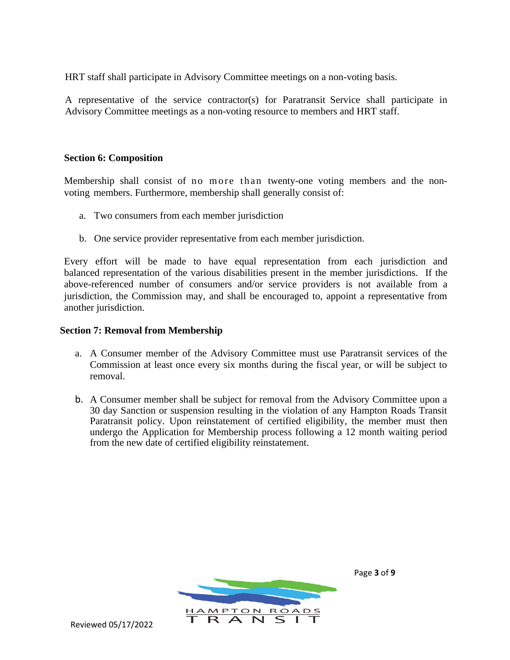HRT staff shall participate in Advisory Committee meetings on a non-voting basis.

A representative of the service contractor(s) for Paratransit Service shall participate in Advisory Committee meetings as a non-voting resource to members and HRT staff.

# **Section 6: Composition**

Membership shall consist of no more than twenty-one voting members and the nonvoting members. Furthermore, membership shall generally consist of:

- a. Two consumers from each member jurisdiction
- b. One service provider representative from each member jurisdiction.

Every effort will be made to have equal representation from each jurisdiction and balanced representation of the various disabilities present in the member jurisdictions. If the above-referenced number of consumers and/or service providers is not available from a jurisdiction, the Commission may, and shall be encouraged to, appoint a representative from another jurisdiction.

# **Section 7: Removal from Membership**

- a. A Consumer member of the Advisory Committee must use Paratransit services of the Commission at least once every six months during the fiscal year, or will be subject to removal.
- b. A Consumer member shall be subject for removal from the Advisory Committee upon a 30 day Sanction or suspension resulting in the violation of any Hampton Roads Transit Paratransit policy. Upon reinstatement of certified eligibility, the member must then undergo the Application for Membership process following a 12 month waiting period from the new date of certified eligibility reinstatement.



Page **3** of **9**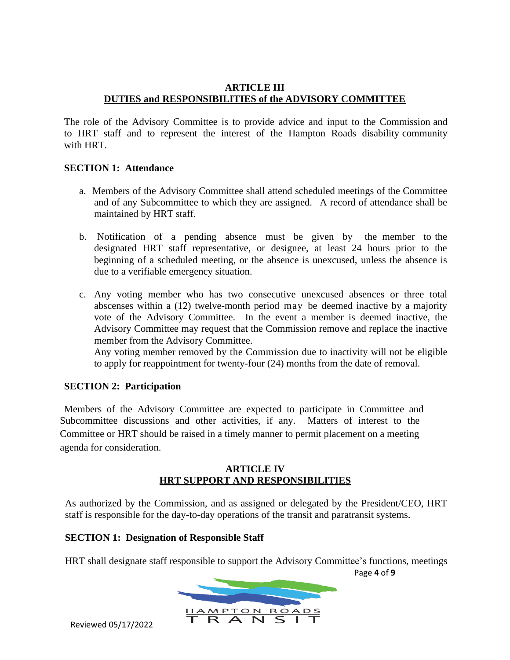# **ARTICLE III DUTIES and RESPONSIBILITIES of the ADVISORY COMMITTEE**

The role of the Advisory Committee is to provide advice and input to the Commission and to HRT staff and to represent the interest of the Hampton Roads disability community with HRT.

# **SECTION 1: Attendance**

- a. Members of the Advisory Committee shall attend scheduled meetings of the Committee and of any Subcommittee to which they are assigned. A record of attendance shall be maintained by HRT staff.
- b. Notification of a pending absence must be given by the member to the designated HRT staff representative, or designee, at least 24 hours prior to the beginning of a scheduled meeting, or the absence is unexcused, unless the absence is due to a verifiable emergency situation.
- c. Any voting member who has two consecutive unexcused absences or three total abscenses within a (12) twelve-month period may be deemed inactive by a majority vote of the Advisory Committee. In the event a member is deemed inactive, the Advisory Committee may request that the Commission remove and replace the inactive member from the Advisory Committee.

Any voting member removed by the Commission due to inactivity will not be eligible to apply for reappointment for twenty-four (24) months from the date of removal.

# **SECTION 2: Participation**

Members of the Advisory Committee are expected to participate in Committee and Subcommittee discussions and other activities, if any. Matters of interest to the Committee or HRT should be raised in a timely manner to permit placement on a meeting agenda for consideration.

# **ARTICLE IV HRT SUPPORT AND RESPONSIBILITIES**

As authorized by the Commission, and as assigned or delegated by the President/CEO, HRT staff is responsible for the day-to-day operations of the transit and paratransit systems.

# **SECTION 1: Designation of Responsible Staff**

Page **4** of **9** HRT shall designate staff responsible to support the Advisory Committee's functions, meetings

**HAMPTON ROADS**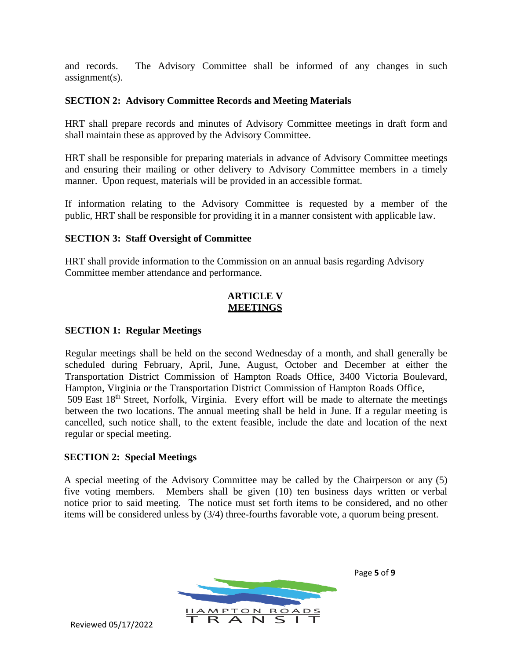and records. The Advisory Committee shall be informed of any changes in such assignment(s).

# **SECTION 2: Advisory Committee Records and Meeting Materials**

HRT shall prepare records and minutes of Advisory Committee meetings in draft form and shall maintain these as approved by the Advisory Committee.

HRT shall be responsible for preparing materials in advance of Advisory Committee meetings and ensuring their mailing or other delivery to Advisory Committee members in a timely manner. Upon request, materials will be provided in an accessible format.

If information relating to the Advisory Committee is requested by a member of the public, HRT shall be responsible for providing it in a manner consistent with applicable law.

# **SECTION 3: Staff Oversight of Committee**

HRT shall provide information to the Commission on an annual basis regarding Advisory Committee member attendance and performance.

# **ARTICLE V MEETINGS**

# **SECTION 1: Regular Meetings**

Regular meetings shall be held on the second Wednesday of a month, and shall generally be scheduled during February, April, June, August, October and December at either the Transportation District Commission of Hampton Roads Office, 3400 Victoria Boulevard, Hampton, Virginia or the Transportation District Commission of Hampton Roads Office, 509 East 18<sup>th</sup> Street, Norfolk, Virginia. Every effort will be made to alternate the meetings between the two locations. The annual meeting shall be held in June. If a regular meeting is cancelled, such notice shall, to the extent feasible, include the date and location of the next regular or special meeting.

# **SECTION 2: Special Meetings**

A special meeting of the Advisory Committee may be called by the Chairperson or any (5) five voting members. Members shall be given (10) ten business days written or verbal notice prior to said meeting. The notice must set forth items to be considered, and no other items will be considered unless by (3/4) three-fourths favorable vote, a quorum being present.

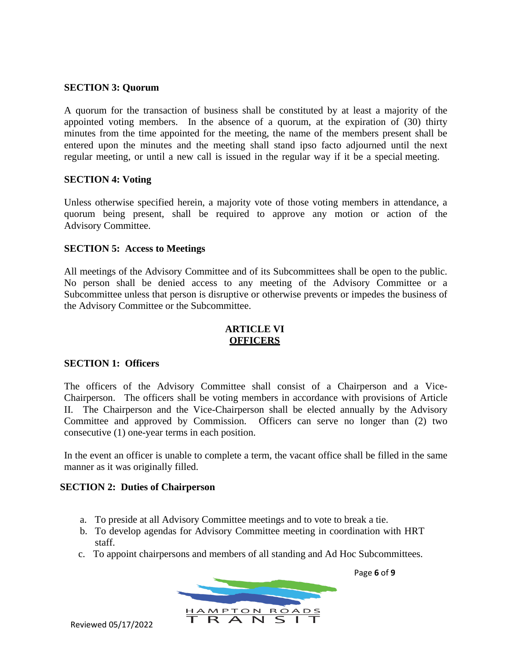# **SECTION 3: Quorum**

A quorum for the transaction of business shall be constituted by at least a majority of the appointed voting members. In the absence of a quorum, at the expiration of (30) thirty minutes from the time appointed for the meeting, the name of the members present shall be entered upon the minutes and the meeting shall stand ipso facto adjourned until the next regular meeting, or until a new call is issued in the regular way if it be a special meeting.

#### **SECTION 4: Voting**

Unless otherwise specified herein, a majority vote of those voting members in attendance, a quorum being present, shall be required to approve any motion or action of the Advisory Committee.

#### **SECTION 5: Access to Meetings**

All meetings of the Advisory Committee and of its Subcommittees shall be open to the public. No person shall be denied access to any meeting of the Advisory Committee or a Subcommittee unless that person is disruptive or otherwise prevents or impedes the business of the Advisory Committee or the Subcommittee.

#### **ARTICLE VI OFFICERS**

#### **SECTION 1: Officers**

The officers of the Advisory Committee shall consist of a Chairperson and a Vice-Chairperson. The officers shall be voting members in accordance with provisions of Article II. The Chairperson and the Vice-Chairperson shall be elected annually by the Advisory Committee and approved by Commission. Officers can serve no longer than (2) two consecutive (1) one-year terms in each position.

In the event an officer is unable to complete a term, the vacant office shall be filled in the same manner as it was originally filled.

# **SECTION 2: Duties of Chairperson**

- a. To preside at all Advisory Committee meetings and to vote to break a tie.
- b. To develop agendas for Advisory Committee meeting in coordination with HRT staff.
- c. To appoint chairpersons and members of all standing and Ad Hoc Subcommittees.



Reviewed 05/17/2022

Page **6** of **9**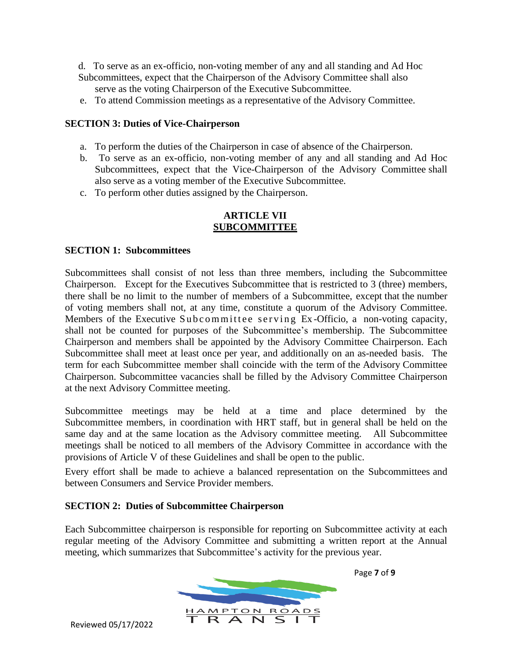d. To serve as an ex-officio, non-voting member of any and all standing and Ad Hoc Subcommittees, expect that the Chairperson of the Advisory Committee shall also serve as the voting Chairperson of the Executive Subcommittee.

e. To attend Commission meetings as a representative of the Advisory Committee.

# **SECTION 3: Duties of Vice-Chairperson**

- a. To perform the duties of the Chairperson in case of absence of the Chairperson.
- b. To serve as an ex-officio, non-voting member of any and all standing and Ad Hoc Subcommittees, expect that the Vice-Chairperson of the Advisory Committee shall also serve as a voting member of the Executive Subcommittee.
- c. To perform other duties assigned by the Chairperson.

# **ARTICLE VII SUBCOMMITTEE**

# **SECTION 1: Subcommittees**

Subcommittees shall consist of not less than three members, including the Subcommittee Chairperson. Except for the Executives Subcommittee that is restricted to 3 (three) members, there shall be no limit to the number of members of a Subcommittee, except that the number of voting members shall not, at any time, constitute a quorum of the Advisory Committee. Members of the Executive Subcommittee serving Ex-Officio, a non-voting capacity, shall not be counted for purposes of the Subcommittee's membership. The Subcommittee Chairperson and members shall be appointed by the Advisory Committee Chairperson. Each Subcommittee shall meet at least once per year, and additionally on an as-needed basis. The term for each Subcommittee member shall coincide with the term of the Advisory Committee Chairperson. Subcommittee vacancies shall be filled by the Advisory Committee Chairperson at the next Advisory Committee meeting.

Subcommittee meetings may be held at a time and place determined by the Subcommittee members, in coordination with HRT staff, but in general shall be held on the same day and at the same location as the Advisory committee meeting. All Subcommittee meetings shall be noticed to all members of the Advisory Committee in accordance with the provisions of Article V of these Guidelines and shall be open to the public.

Every effort shall be made to achieve a balanced representation on the Subcommittees and between Consumers and Service Provider members.

# **SECTION 2: Duties of Subcommittee Chairperson**

Each Subcommittee chairperson is responsible for reporting on Subcommittee activity at each regular meeting of the Advisory Committee and submitting a written report at the Annual meeting, which summarizes that Subcommittee's activity for the previous year.



Page **7** of **9**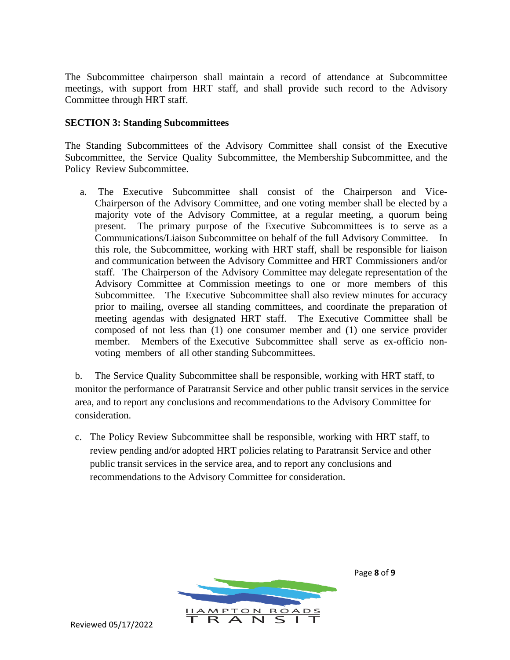The Subcommittee chairperson shall maintain a record of attendance at Subcommittee meetings, with support from HRT staff, and shall provide such record to the Advisory Committee through HRT staff.

# **SECTION 3: Standing Subcommittees**

The Standing Subcommittees of the Advisory Committee shall consist of the Executive Subcommittee, the Service Quality Subcommittee, the Membership Subcommittee, and the Policy Review Subcommittee.

a. The Executive Subcommittee shall consist of the Chairperson and Vice-Chairperson of the Advisory Committee, and one voting member shall be elected by a majority vote of the Advisory Committee, at a regular meeting, a quorum being present. The primary purpose of the Executive Subcommittees is to serve as a Communications/Liaison Subcommittee on behalf of the full Advisory Committee. In this role, the Subcommittee, working with HRT staff, shall be responsible for liaison and communication between the Advisory Committee and HRT Commissioners and/or staff. The Chairperson of the Advisory Committee may delegate representation of the Advisory Committee at Commission meetings to one or more members of this Subcommittee. The Executive Subcommittee shall also review minutes for accuracy prior to mailing, oversee all standing committees, and coordinate the preparation of meeting agendas with designated HRT staff. The Executive Committee shall be composed of not less than (1) one consumer member and (1) one service provider member. Members of the Executive Subcommittee shall serve as ex-officio nonvoting members of all other standing Subcommittees.

b. The Service Quality Subcommittee shall be responsible, working with HRT staff, to monitor the performance of Paratransit Service and other public transit services in the service area, and to report any conclusions and recommendations to the Advisory Committee for consideration.

c. The Policy Review Subcommittee shall be responsible, working with HRT staff, to review pending and/or adopted HRT policies relating to Paratransit Service and other public transit services in the service area, and to report any conclusions and recommendations to the Advisory Committee for consideration.



Page **8** of **9**